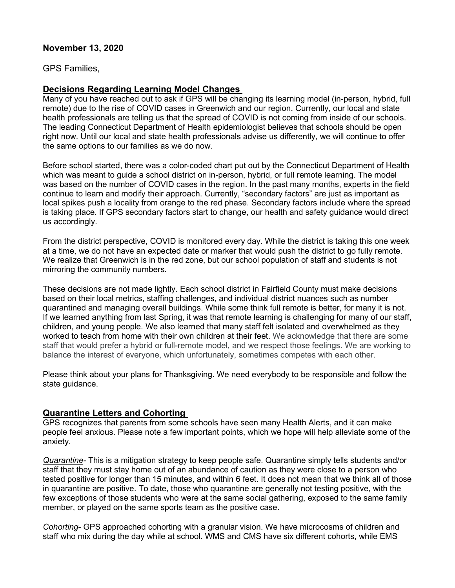# **November 13, 2020**

GPS Families,

#### **Decisions Regarding Learning Model Changes**

Many of you have reached out to ask if GPS will be changing its learning model (in-person, hybrid, full remote) due to the rise of COVID cases in Greenwich and our region. Currently, our local and state health professionals are telling us that the spread of COVID is not coming from inside of our schools. The leading Connecticut Department of Health epidemiologist believes that schools should be open right now. Until our local and state health professionals advise us differently, we will continue to offer the same options to our families as we do now.

Before school started, there was a color-coded chart put out by the Connecticut Department of Health which was meant to guide a school district on in-person, hybrid, or full remote learning. The model was based on the number of COVID cases in the region. In the past many months, experts in the field continue to learn and modify their approach. Currently, "secondary factors" are just as important as local spikes push a locality from orange to the red phase. Secondary factors include where the spread is taking place. If GPS secondary factors start to change, our health and safety guidance would direct us accordingly.

From the district perspective, COVID is monitored every day. While the district is taking this one week at a time, we do not have an expected date or marker that would push the district to go fully remote. We realize that Greenwich is in the red zone, but our school population of staff and students is not mirroring the community numbers.

These decisions are not made lightly. Each school district in Fairfield County must make decisions based on their local metrics, staffing challenges, and individual district nuances such as number quarantined and managing overall buildings. While some think full remote is better, for many it is not. If we learned anything from last Spring, it was that remote learning is challenging for many of our staff, children, and young people. We also learned that many staff felt isolated and overwhelmed as they worked to teach from home with their own children at their feet. We acknowledge that there are some staff that would prefer a hybrid or full-remote model, and we respect those feelings. We are working to balance the interest of everyone, which unfortunately, sometimes competes with each other.

Please think about your plans for Thanksgiving. We need everybody to be responsible and follow the state guidance.

# **Quarantine Letters and Cohorting**

GPS recognizes that parents from some schools have seen many Health Alerts, and it can make people feel anxious. Please note a few important points, which we hope will help alleviate some of the anxiety.

*Quarantine-* This is a mitigation strategy to keep people safe. Quarantine simply tells students and/or staff that they must stay home out of an abundance of caution as they were close to a person who tested positive for longer than 15 minutes, and within 6 feet. It does not mean that we think all of those in quarantine are positive. To date, those who quarantine are generally not testing positive, with the few exceptions of those students who were at the same social gathering, exposed to the same family member, or played on the same sports team as the positive case.

*Cohorting*- GPS approached cohorting with a granular vision. We have microcosms of children and staff who mix during the day while at school. WMS and CMS have six different cohorts, while EMS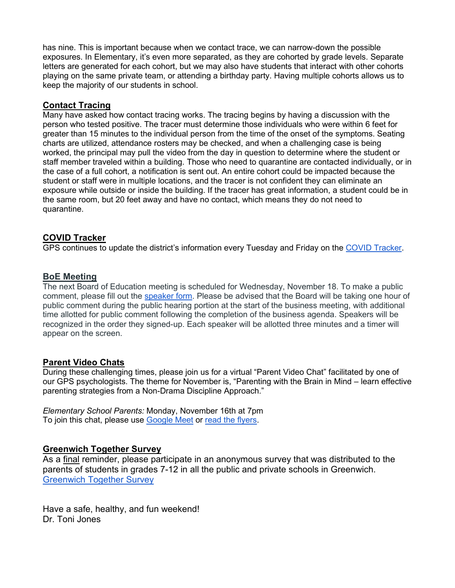has nine. This is important because when we contact trace, we can narrow-down the possible exposures. In Elementary, it's even more separated, as they are cohorted by grade levels. Separate letters are generated for each cohort, but we may also have students that interact with other cohorts playing on the same private team, or attending a birthday party. Having multiple cohorts allows us to keep the majority of our students in school.

### **Contact Tracing**

Many have asked how contact tracing works. The tracing begins by having a discussion with the person who tested positive. The tracer must determine those individuals who were within 6 feet for greater than 15 minutes to the individual person from the time of the onset of the symptoms. Seating charts are utilized, attendance rosters may be checked, and when a challenging case is being worked, the principal may pull the video from the day in question to determine where the student or staff member traveled within a building. Those who need to quarantine are contacted individually, or in the case of a full cohort, a notification is sent out. An entire cohort could be impacted because the student or staff were in multiple locations, and the tracer is not confident they can eliminate an exposure while outside or inside the building. If the tracer has great information, a student could be in the same room, but 20 feet away and have no contact, which means they do not need to quarantine.

#### **COVID Tracker**

GPS continues to update the district's information every Tuesday and Friday on the [COVID Tracker.](https://www.greenwichschools.org/teaching-learning/student-support-services/health-services/covid-19)

#### **BoE Meeting**

The next Board of Education meeting is scheduled for Wednesday, November 18. To make a public comment, please fill out the [speaker form.](https://forms.gle/4DhjfdVMzNFv3JCV9) Please be advised that the Board will be taking one hour of public comment during the public hearing portion at the start of the business meeting, with additional time allotted for public comment following the completion of the business agenda. Speakers will be recognized in the order they signed-up. Each speaker will be allotted three minutes and a timer will appear on the screen.

#### **Parent Video Chats**

During these challenging times, please join us for a virtual "Parent Video Chat" facilitated by one of our GPS psychologists. The theme for November is, "Parenting with the Brain in Mind – learn effective parenting strategies from a Non-Drama Discipline Approach."

*Elementary School Parents:* Monday, November 16th at 7pm To join this chat, please use [Google Meet](http://meet.google.com/rgq-yjrv-kzg) or [read the flyers.](https://www.greenwichschools.org/fs/resource-manager/view/22a701d9-6e44-44f6-9bd4-307fbb971132)

#### **Greenwich Together Survey**

As a final reminder, please participate in an anonymous survey that was distributed to the parents of students in grades 7-12 in all the public and private schools in Greenwich. [Greenwich Together Survey](https://www.surveymonkey.com/r/3BLFQHL)

Have a safe, healthy, and fun weekend! Dr. Toni Jones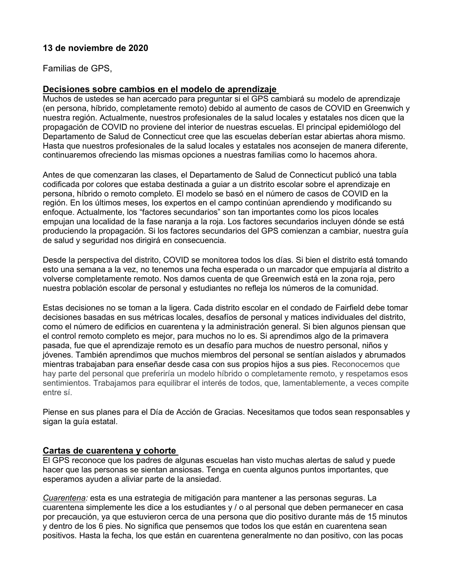# **13 de noviembre de 2020**

Familias de GPS,

#### **Decisiones sobre cambios en el modelo de aprendizaje**

Muchos de ustedes se han acercado para preguntar si el GPS cambiará su modelo de aprendizaje (en persona, híbrido, completamente remoto) debido al aumento de casos de COVID en Greenwich y nuestra región. Actualmente, nuestros profesionales de la salud locales y estatales nos dicen que la propagación de COVID no proviene del interior de nuestras escuelas. El principal epidemiólogo del Departamento de Salud de Connecticut cree que las escuelas deberían estar abiertas ahora mismo. Hasta que nuestros profesionales de la salud locales y estatales nos aconsejen de manera diferente, continuaremos ofreciendo las mismas opciones a nuestras familias como lo hacemos ahora.

Antes de que comenzaran las clases, el Departamento de Salud de Connecticut publicó una tabla codificada por colores que estaba destinada a guiar a un distrito escolar sobre el aprendizaje en persona, híbrido o remoto completo. El modelo se basó en el número de casos de COVID en la región. En los últimos meses, los expertos en el campo continúan aprendiendo y modificando su enfoque. Actualmente, los "factores secundarios" son tan importantes como los picos locales empujan una localidad de la fase naranja a la roja. Los factores secundarios incluyen dónde se está produciendo la propagación. Si los factores secundarios del GPS comienzan a cambiar, nuestra guía de salud y seguridad nos dirigirá en consecuencia.

Desde la perspectiva del distrito, COVID se monitorea todos los días. Si bien el distrito está tomando esto una semana a la vez, no tenemos una fecha esperada o un marcador que empujaría al distrito a volverse completamente remoto. Nos damos cuenta de que Greenwich está en la zona roja, pero nuestra población escolar de personal y estudiantes no refleja los números de la comunidad.

Estas decisiones no se toman a la ligera. Cada distrito escolar en el condado de Fairfield debe tomar decisiones basadas en sus métricas locales, desafíos de personal y matices individuales del distrito, como el número de edificios en cuarentena y la administración general. Si bien algunos piensan que el control remoto completo es mejor, para muchos no lo es. Si aprendimos algo de la primavera pasada, fue que el aprendizaje remoto es un desafío para muchos de nuestro personal, niños y jóvenes. También aprendimos que muchos miembros del personal se sentían aislados y abrumados mientras trabajaban para enseñar desde casa con sus propios hijos a sus pies. Reconocemos que hay parte del personal que preferiría un modelo híbrido o completamente remoto, y respetamos esos sentimientos. Trabajamos para equilibrar el interés de todos, que, lamentablemente, a veces compite entre sí.

Piense en sus planes para el Día de Acción de Gracias. Necesitamos que todos sean responsables y sigan la guía estatal.

### **Cartas de cuarentena y cohorte**

El GPS reconoce que los padres de algunas escuelas han visto muchas alertas de salud y puede hacer que las personas se sientan ansiosas. Tenga en cuenta algunos puntos importantes, que esperamos ayuden a aliviar parte de la ansiedad.

*Cuarentena:* esta es una estrategia de mitigación para mantener a las personas seguras. La cuarentena simplemente les dice a los estudiantes y / o al personal que deben permanecer en casa por precaución, ya que estuvieron cerca de una persona que dio positivo durante más de 15 minutos y dentro de los 6 pies. No significa que pensemos que todos los que están en cuarentena sean positivos. Hasta la fecha, los que están en cuarentena generalmente no dan positivo, con las pocas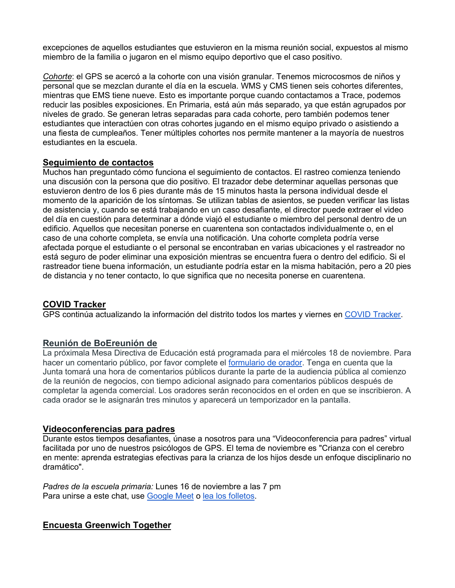excepciones de aquellos estudiantes que estuvieron en la misma reunión social, expuestos al mismo miembro de la familia o jugaron en el mismo equipo deportivo que el caso positivo.

*Cohorte*: el GPS se acercó a la cohorte con una visión granular. Tenemos microcosmos de niños y personal que se mezclan durante el día en la escuela. WMS y CMS tienen seis cohortes diferentes, mientras que EMS tiene nueve. Esto es importante porque cuando contactamos a Trace, podemos reducir las posibles exposiciones. En Primaria, está aún más separado, ya que están agrupados por niveles de grado. Se generan letras separadas para cada cohorte, pero también podemos tener estudiantes que interactúen con otras cohortes jugando en el mismo equipo privado o asistiendo a una fiesta de cumpleaños. Tener múltiples cohortes nos permite mantener a la mayoría de nuestros estudiantes en la escuela.

# **Seguimiento de contactos**

Muchos han preguntado cómo funciona el seguimiento de contactos. El rastreo comienza teniendo una discusión con la persona que dio positivo. El trazador debe determinar aquellas personas que estuvieron dentro de los 6 pies durante más de 15 minutos hasta la persona individual desde el momento de la aparición de los síntomas. Se utilizan tablas de asientos, se pueden verificar las listas de asistencia y, cuando se está trabajando en un caso desafiante, el director puede extraer el video del día en cuestión para determinar a dónde viajó el estudiante o miembro del personal dentro de un edificio. Aquellos que necesitan ponerse en cuarentena son contactados individualmente o, en el caso de una cohorte completa, se envía una notificación. Una cohorte completa podría verse afectada porque el estudiante o el personal se encontraban en varias ubicaciones y el rastreador no está seguro de poder eliminar una exposición mientras se encuentra fuera o dentro del edificio. Si el rastreador tiene buena información, un estudiante podría estar en la misma habitación, pero a 20 pies de distancia y no tener contacto, lo que significa que no necesita ponerse en cuarentena.

# **COVID Tracker**

GPS continúa actualizando la información del distrito todos los martes y viernes en [COVID Tracker.](https://www.greenwichschools.org/teaching-learning/student-support-services/health-services/covid-19)

# **Reunión de BoEreunión de**

La próximala Mesa Directiva de Educación está programada para el miércoles 18 de noviembre. Para hacer un comentario público, por favor complete el [formulario de orador.](https://forms.gle/4DhjfdVMzNFv3JCV9) Tenga en cuenta que la Junta tomará una hora de comentarios públicos durante la parte de la audiencia pública al comienzo de la reunión de negocios, con tiempo adicional asignado para comentarios públicos después de completar la agenda comercial. Los oradores serán reconocidos en el orden en que se inscribieron. A cada orador se le asignarán tres minutos y aparecerá un temporizador en la pantalla.

#### **Videoconferencias para padres**

Durante estos tiempos desafiantes, únase a nosotros para una "Videoconferencia para padres" virtual facilitada por uno de nuestros psicólogos de GPS. El tema de noviembre es "Crianza con el cerebro en mente: aprenda estrategias efectivas para la crianza de los hijos desde un enfoque disciplinario no dramático".

*Padres de la escuela primaria:* Lunes 16 de noviembre a las 7 pm Para unirse a este chat, use [Google Meet](http://meet.google.com/rgq-yjrv-kzg) o [lea los folletos.](https://www.greenwichschools.org/fs/resource-manager/view/22a701d9-6e44-44f6-9bd4-307fbb971132)

# **Encuesta Greenwich Together**